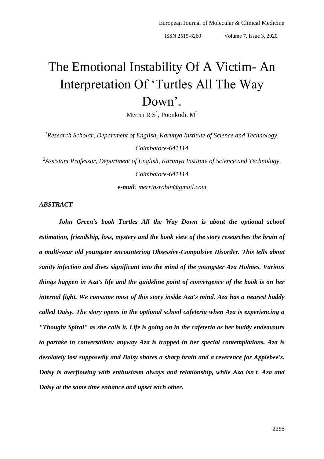# The Emotional Instability Of A Victim- An Interpretation Of 'Turtles All The Way Down'.

Merrin R  $S^1$ , Poonkodi. M<sup>2</sup>

*<sup>1</sup>Research Scholar, Department of English, Karunya Institute of Science and Technology, Coimbatore-641114*

*<sup>2</sup>Assistant Professor, Department of English, Karunya Institute of Science and Technology, Coimbatore-641114*

*e-mail: merrinsrobin@gmail.com*

## *ABSTRACT*

*John Green's book Turtles All the Way Down is about the optional school estimation, friendship, loss, mystery and the book view of the story researches the brain of a multi-year old youngster encountering Obsessive-Compulsive Disorder. This tells about sanity infection and dives significant into the mind of the youngster Aza Holmes. Various things happen in Aza's life and the guideline point of convergence of the book is on her internal fight. We consume most of this story inside Aza's mind. Aza has a nearest buddy called Daisy. The story opens in the optional school cafeteria when Aza is experiencing a "Thought Spiral" as she calls it. Life is going on in the cafeteria as her buddy endeavours to partake in conversation; anyway Aza is trapped in her special contemplations. Aza is desolately lost supposedly and Daisy shares a sharp brain and a reverence for Applebee's. Daisy is overflowing with enthusiasm always and relationship, while Aza isn't. Aza and Daisy at the same time enhance and upset each other.*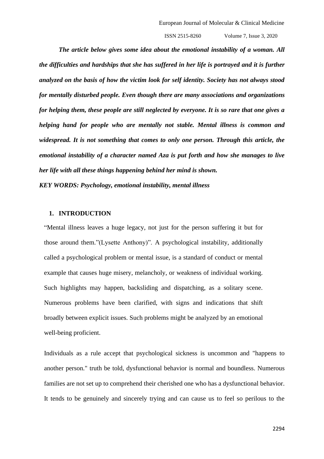*The article below gives some idea about the emotional instability of a woman. All the difficulties and hardships that she has suffered in her life is portrayed and it is further analyzed on the basis of how the victim look for self identity. Society has not always stood for mentally disturbed people. Even though there are many associations and organizations for helping them, these people are still neglected by everyone. It is so rare that one gives a helping hand for people who are mentally not stable. Mental illness is common and widespread. It is not something that comes to only one person. Through this article, the emotional instability of a character named Aza is put forth and how she manages to live her life with all these things happening behind her mind is shown. KEY WORDS: Psychology, emotional instability, mental illness*

## **1. INTRODUCTION**

"Mental illness leaves a huge legacy, not just for the person suffering it but for those around them."(Lysette Anthony)". A psychological instability, additionally called a psychological problem or mental issue, is a standard of conduct or mental example that causes huge misery, melancholy, or weakness of individual working. Such highlights may happen, backsliding and dispatching, as a solitary scene. Numerous problems have been clarified, with signs and indications that shift broadly between explicit issues. Such problems might be analyzed by an emotional well-being proficient.

Individuals as a rule accept that psychological sickness is uncommon and "happens to another person." truth be told, dysfunctional behavior is normal and boundless. Numerous families are not set up to comprehend their cherished one who has a dysfunctional behavior. It tends to be genuinely and sincerely trying and can cause us to feel so perilous to the

2294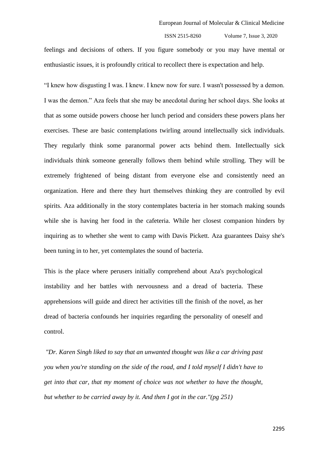feelings and decisions of others. If you figure somebody or you may have mental or enthusiastic issues, it is profoundly critical to recollect there is expectation and help.

"I knew how disgusting I was. I knew. I knew now for sure. I wasn't possessed by a demon. I was the demon." Aza feels that she may be anecdotal during her school days. She looks at that as some outside powers choose her lunch period and considers these powers plans her exercises. These are basic contemplations twirling around intellectually sick individuals. They regularly think some paranormal power acts behind them. Intellectually sick individuals think someone generally follows them behind while strolling. They will be extremely frightened of being distant from everyone else and consistently need an organization. Here and there they hurt themselves thinking they are controlled by evil spirits. Aza additionally in the story contemplates bacteria in her stomach making sounds while she is having her food in the cafeteria. While her closest companion hinders by inquiring as to whether she went to camp with Davis Pickett. Aza guarantees Daisy she's been tuning in to her, yet contemplates the sound of bacteria.

This is the place where perusers initially comprehend about Aza's psychological instability and her battles with nervousness and a dread of bacteria. These apprehensions will guide and direct her activities till the finish of the novel, as her dread of bacteria confounds her inquiries regarding the personality of oneself and control.

*"Dr. Karen Singh liked to say that an unwanted thought was like a car driving past you when you're standing on the side of the road, and I told myself I didn't have to get into that car, that my moment of choice was not whether to have the thought, but whether to be carried away by it. And then I got in the car."(pg 251)*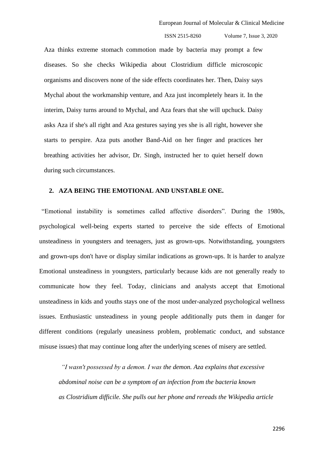Aza thinks extreme stomach commotion made by bacteria may prompt a few diseases. So she checks Wikipedia about Clostridium difficle microscopic organisms and discovers none of the side effects coordinates her. Then, Daisy says Mychal about the workmanship venture, and Aza just incompletely hears it. In the interim, Daisy turns around to Mychal, and Aza fears that she will upchuck. Daisy asks Aza if she's all right and Aza gestures saying yes she is all right, however she starts to perspire. Aza puts another Band-Aid on her finger and practices her breathing activities her advisor, Dr. Singh, instructed her to quiet herself down during such circumstances.

# **2. AZA BEING THE EMOTIONAL AND UNSTABLE ONE.**

"Emotional instability is sometimes called affective disorders". During the 1980s, psychological well-being experts started to perceive the side effects of Emotional unsteadiness in youngsters and teenagers, just as grown-ups. Notwithstanding, youngsters and grown-ups don't have or display similar indications as grown-ups. It is harder to analyze Emotional unsteadiness in youngsters, particularly because kids are not generally ready to communicate how they feel. Today, clinicians and analysts accept that Emotional unsteadiness in kids and youths stays one of the most under-analyzed psychological wellness issues. Enthusiastic unsteadiness in young people additionally puts them in danger for different conditions (regularly uneasiness problem, problematic conduct, and substance misuse issues) that may continue long after the underlying scenes of misery are settled.

*"I wasn't possessed by a demon. I was the demon. [Aza](https://www.litcharts.com/lit/turtles-all-the-way-down/characters/aza-holmes) explains that excessive abdominal noise can be a symptom of an infection from the bacteria known as Clostridium difficile. She pulls out her phone and rereads the Wikipedia article*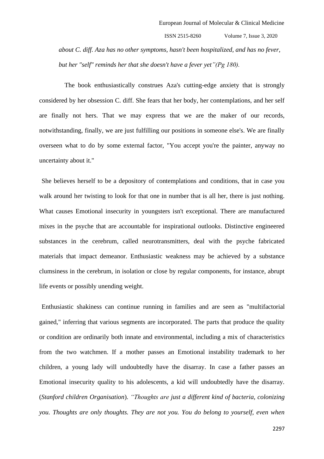*about [C. diff.](https://www.litcharts.com/lit/turtles-all-the-way-down/symbols/bacteria-c-diff) Aza has no other symptoms, hasn't been hospitalized, and has no fever, but her "self" reminds her that she doesn't have a fever yet"(Pg 180).* 

 The book enthusiastically construes Aza's cutting-edge anxiety that is strongly considered by her obsession C. diff. She fears that her body, her contemplations, and her self are finally not hers. That we may express that we are the maker of our records, notwithstanding, finally, we are just fulfilling our positions in someone else's. We are finally overseen what to do by some external factor, "You accept you're the painter, anyway no uncertainty about it."

She believes herself to be a depository of contemplations and conditions, that in case you walk around her twisting to look for that one in number that is all her, there is just nothing. What causes Emotional insecurity in youngsters isn't exceptional. There are manufactured mixes in the psyche that are accountable for inspirational outlooks. Distinctive engineered substances in the cerebrum, called neurotransmitters, deal with the psyche fabricated materials that impact demeanor. Enthusiastic weakness may be achieved by a substance clumsiness in the cerebrum, in isolation or close by regular components, for instance, abrupt life events or possibly unending weight.

Enthusiastic shakiness can continue running in families and are seen as "multifactorial gained," inferring that various segments are incorporated. The parts that produce the quality or condition are ordinarily both innate and environmental, including a mix of characteristics from the two watchmen. If a mother passes an Emotional instability trademark to her children, a young lady will undoubtedly have the disarray. In case a father passes an Emotional insecurity quality to his adolescents, a kid will undoubtedly have the disarray. (*Stanford children Organisation*). *"Thoughts are just a different kind of bacteria, colonizing you. Thoughts are only thoughts. They are not you. You do belong to yourself, even when*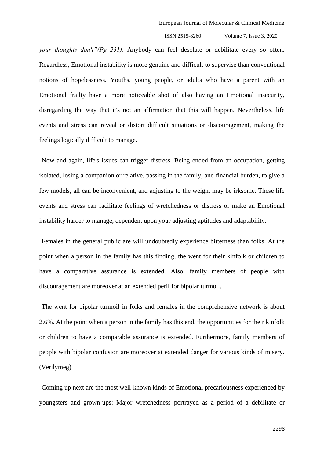*your thoughts don't"(Pg 231)*. Anybody can feel desolate or debilitate every so often. Regardless, Emotional instability is more genuine and difficult to supervise than conventional notions of hopelessness. Youths, young people, or adults who have a parent with an Emotional frailty have a more noticeable shot of also having an Emotional insecurity, disregarding the way that it's not an affirmation that this will happen. Nevertheless, life events and stress can reveal or distort difficult situations or discouragement, making the feelings logically difficult to manage.

Now and again, life's issues can trigger distress. Being ended from an occupation, getting isolated, losing a companion or relative, passing in the family, and financial burden, to give a few models, all can be inconvenient, and adjusting to the weight may be irksome. These life events and stress can facilitate feelings of wretchedness or distress or make an Emotional instability harder to manage, dependent upon your adjusting aptitudes and adaptability.

Females in the general public are will undoubtedly experience bitterness than folks. At the point when a person in the family has this finding, the went for their kinfolk or children to have a comparative assurance is extended. Also, family members of people with discouragement are moreover at an extended peril for bipolar turmoil.

The went for bipolar turmoil in folks and females in the comprehensive network is about 2.6%. At the point when a person in the family has this end, the opportunities for their kinfolk or children to have a comparable assurance is extended. Furthermore, family members of people with bipolar confusion are moreover at extended danger for various kinds of misery. (Verilymeg)

Coming up next are the most well-known kinds of Emotional precariousness experienced by youngsters and grown-ups: Major wretchedness portrayed as a period of a debilitate or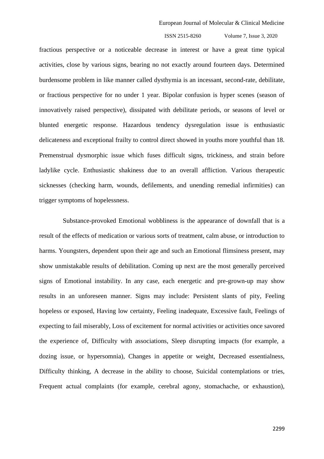fractious perspective or a noticeable decrease in interest or have a great time typical activities, close by various signs, bearing no not exactly around fourteen days. Determined burdensome problem in like manner called dysthymia is an incessant, second-rate, debilitate, or fractious perspective for no under 1 year. Bipolar confusion is hyper scenes (season of innovatively raised perspective), dissipated with debilitate periods, or seasons of level or blunted energetic response. Hazardous tendency dysregulation issue is enthusiastic delicateness and exceptional frailty to control direct showed in youths more youthful than 18. Premenstrual dysmorphic issue which fuses difficult signs, trickiness, and strain before ladylike cycle. Enthusiastic shakiness due to an overall affliction. Various therapeutic sicknesses (checking harm, wounds, defilements, and unending remedial infirmities) can trigger symptoms of hopelessness.

 Substance-provoked Emotional wobbliness is the appearance of downfall that is a result of the effects of medication or various sorts of treatment, calm abuse, or introduction to harms. Youngsters, dependent upon their age and such an Emotional flimsiness present, may show unmistakable results of debilitation. Coming up next are the most generally perceived signs of Emotional instability. In any case, each energetic and pre-grown-up may show results in an unforeseen manner. Signs may include: Persistent slants of pity, Feeling hopeless or exposed, Having low certainty, Feeling inadequate, Excessive fault, Feelings of expecting to fail miserably, Loss of excitement for normal activities or activities once savored the experience of, Difficulty with associations, Sleep disrupting impacts (for example, a dozing issue, or hypersomnia), Changes in appetite or weight, Decreased essentialness, Difficulty thinking, A decrease in the ability to choose, Suicidal contemplations or tries, Frequent actual complaints (for example, cerebral agony, stomachache, or exhaustion),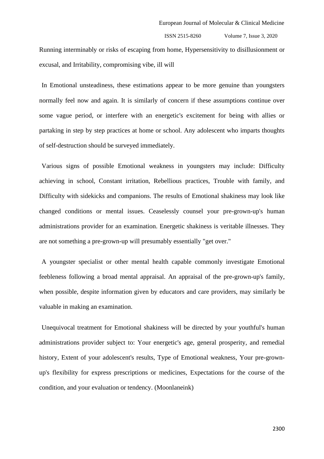Running interminably or risks of escaping from home, Hypersensitivity to disillusionment or excusal, and Irritability, compromising vibe, ill will

In Emotional unsteadiness, these estimations appear to be more genuine than youngsters normally feel now and again. It is similarly of concern if these assumptions continue over some vague period, or interfere with an energetic's excitement for being with allies or partaking in step by step practices at home or school. Any adolescent who imparts thoughts of self-destruction should be surveyed immediately.

Various signs of possible Emotional weakness in youngsters may include: Difficulty achieving in school, Constant irritation, Rebellious practices, Trouble with family, and Difficulty with sidekicks and companions. The results of Emotional shakiness may look like changed conditions or mental issues. Ceaselessly counsel your pre-grown-up's human administrations provider for an examination. Energetic shakiness is veritable illnesses. They are not something a pre-grown-up will presumably essentially "get over."

A youngster specialist or other mental health capable commonly investigate Emotional feebleness following a broad mental appraisal. An appraisal of the pre-grown-up's family, when possible, despite information given by educators and care providers, may similarly be valuable in making an examination.

Unequivocal treatment for Emotional shakiness will be directed by your youthful's human administrations provider subject to: Your energetic's age, general prosperity, and remedial history, Extent of your adolescent's results, Type of Emotional weakness, Your pre-grownup's flexibility for express prescriptions or medicines, Expectations for the course of the condition, and your evaluation or tendency. (Moonlaneink)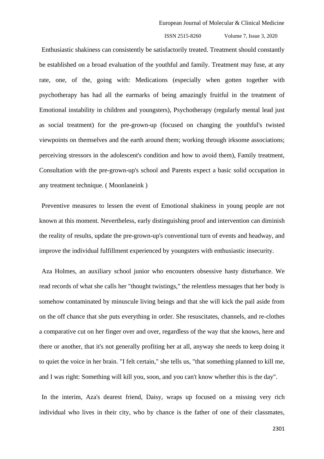Enthusiastic shakiness can consistently be satisfactorily treated. Treatment should constantly be established on a broad evaluation of the youthful and family. Treatment may fuse, at any rate, one, of the, going with: Medications (especially when gotten together with psychotherapy has had all the earmarks of being amazingly fruitful in the treatment of Emotional instability in children and youngsters), Psychotherapy (regularly mental lead just as social treatment) for the pre-grown-up (focused on changing the youthful's twisted viewpoints on themselves and the earth around them; working through irksome associations; perceiving stressors in the adolescent's condition and how to avoid them), Family treatment, Consultation with the pre-grown-up's school and Parents expect a basic solid occupation in any treatment technique. ( Moonlaneink )

Preventive measures to lessen the event of Emotional shakiness in young people are not known at this moment. Nevertheless, early distinguishing proof and intervention can diminish the reality of results, update the pre-grown-up's conventional turn of events and headway, and improve the individual fulfillment experienced by youngsters with enthusiastic insecurity.

Aza Holmes, an auxiliary school junior who encounters obsessive hasty disturbance. We read records of what she calls her "thought twistings," the relentless messages that her body is somehow contaminated by minuscule living beings and that she will kick the pail aside from on the off chance that she puts everything in order. She resuscitates, channels, and re-clothes a comparative cut on her finger over and over, regardless of the way that she knows, here and there or another, that it's not generally profiting her at all, anyway she needs to keep doing it to quiet the voice in her brain. "I felt certain," she tells us, "that something planned to kill me, and I was right: Something will kill you, soon, and you can't know whether this is the day".

In the interim, Aza's dearest friend, Daisy, wraps up focused on a missing very rich individual who lives in their city, who by chance is the father of one of their classmates,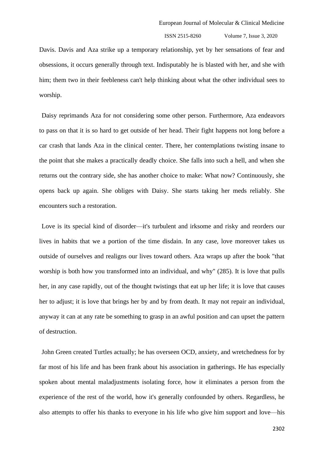Davis. Davis and Aza strike up a temporary relationship, yet by her sensations of fear and obsessions, it occurs generally through text. Indisputably he is blasted with her, and she with him; them two in their feebleness can't help thinking about what the other individual sees to worship.

Daisy reprimands Aza for not considering some other person. Furthermore, Aza endeavors to pass on that it is so hard to get outside of her head. Their fight happens not long before a car crash that lands Aza in the clinical center. There, her contemplations twisting insane to the point that she makes a practically deadly choice. She falls into such a hell, and when she returns out the contrary side, she has another choice to make: What now? Continuously, she opens back up again. She obliges with Daisy. She starts taking her meds reliably. She encounters such a restoration.

Love is its special kind of disorder—it's turbulent and irksome and risky and reorders our lives in habits that we a portion of the time disdain. In any case, love moreover takes us outside of ourselves and realigns our lives toward others. Aza wraps up after the book "that worship is both how you transformed into an individual, and why" (285). It is love that pulls her, in any case rapidly, out of the thought twistings that eat up her life; it is love that causes her to adjust; it is love that brings her by and by from death. It may not repair an individual, anyway it can at any rate be something to grasp in an awful position and can upset the pattern of destruction.

John Green created Turtles actually; he has overseen OCD, anxiety, and wretchedness for by far most of his life and has been frank about his association in gatherings. He has especially spoken about mental maladjustments isolating force, how it eliminates a person from the experience of the rest of the world, how it's generally confounded by others. Regardless, he also attempts to offer his thanks to everyone in his life who give him support and love—his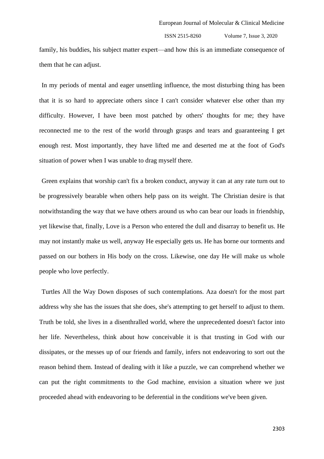family, his buddies, his subject matter expert—and how this is an immediate consequence of them that he can adjust.

In my periods of mental and eager unsettling influence, the most disturbing thing has been that it is so hard to appreciate others since I can't consider whatever else other than my difficulty. However, I have been most patched by others' thoughts for me; they have reconnected me to the rest of the world through grasps and tears and guaranteeing I get enough rest. Most importantly, they have lifted me and deserted me at the foot of God's situation of power when I was unable to drag myself there.

Green explains that worship can't fix a broken conduct, anyway it can at any rate turn out to be progressively bearable when others help pass on its weight. The Christian desire is that notwithstanding the way that we have others around us who can bear our loads in friendship, yet likewise that, finally, Love is a Person who entered the dull and disarray to benefit us. He may not instantly make us well, anyway He especially gets us. He has borne our torments and passed on our bothers in His body on the cross. Likewise, one day He will make us whole people who love perfectly.

Turtles All the Way Down disposes of such contemplations. Aza doesn't for the most part address why she has the issues that she does, she's attempting to get herself to adjust to them. Truth be told, she lives in a disenthralled world, where the unprecedented doesn't factor into her life. Nevertheless, think about how conceivable it is that trusting in God with our dissipates, or the messes up of our friends and family, infers not endeavoring to sort out the reason behind them. Instead of dealing with it like a puzzle, we can comprehend whether we can put the right commitments to the God machine, envision a situation where we just proceeded ahead with endeavoring to be deferential in the conditions we've been given.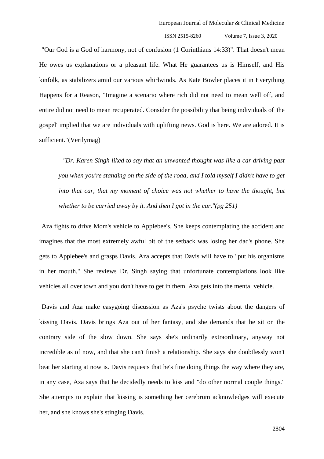"Our God is a God of harmony, not of confusion (1 Corinthians 14:33)". That doesn't mean He owes us explanations or a pleasant life. What He guarantees us is Himself, and His kinfolk, as stabilizers amid our various whirlwinds. As Kate Bowler places it in Everything Happens for a Reason, "Imagine a scenario where rich did not need to mean well off, and entire did not need to mean recuperated. Consider the possibility that being individuals of 'the gospel' implied that we are individuals with uplifting news. God is here. We are adored. It is sufficient."(Verilymag)

*"Dr. Karen Singh liked to say that an unwanted thought was like a car driving past you when you're standing on the side of the road, and I told myself I didn't have to get*  into that car, that my moment of choice was not whether to have the thought, but *whether to be carried away by it. And then I got in the car."(pg 251)*

Aza fights to drive Mom's vehicle to Applebee's. She keeps contemplating the accident and imagines that the most extremely awful bit of the setback was losing her dad's phone. She gets to Applebee's and grasps Davis. Aza accepts that Davis will have to "put his organisms in her mouth." She reviews Dr. Singh saying that unfortunate contemplations look like vehicles all over town and you don't have to get in them. Aza gets into the mental vehicle.

Davis and Aza make easygoing discussion as Aza's psyche twists about the dangers of kissing Davis. Davis brings Aza out of her fantasy, and she demands that he sit on the contrary side of the slow down. She says she's ordinarily extraordinary, anyway not incredible as of now, and that she can't finish a relationship. She says she doubtlessly won't beat her starting at now is. Davis requests that he's fine doing things the way where they are, in any case, Aza says that he decidedly needs to kiss and "do other normal couple things." She attempts to explain that kissing is something her cerebrum acknowledges will execute her, and she knows she's stinging Davis.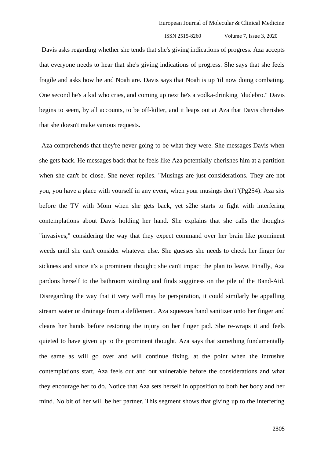Davis asks regarding whether she tends that she's giving indications of progress. Aza accepts that everyone needs to hear that she's giving indications of progress. She says that she feels fragile and asks how he and Noah are. Davis says that Noah is up 'til now doing combating. One second he's a kid who cries, and coming up next he's a vodka-drinking "dudebro." Davis begins to seem, by all accounts, to be off-kilter, and it leaps out at Aza that Davis cherishes that she doesn't make various requests.

Aza comprehends that they're never going to be what they were. She messages Davis when she gets back. He messages back that he feels like Aza potentially cherishes him at a partition when she can't be close. She never replies. "Musings are just considerations. They are not you, you have a place with yourself in any event, when your musings don't"(Pg254). Aza sits before the TV with Mom when she gets back, yet s2he starts to fight with interfering contemplations about Davis holding her hand. She explains that she calls the thoughts "invasives," considering the way that they expect command over her brain like prominent weeds until she can't consider whatever else. She guesses she needs to check her finger for sickness and since it's a prominent thought; she can't impact the plan to leave. Finally, Aza pardons herself to the bathroom winding and finds sogginess on the pile of the Band-Aid. Disregarding the way that it very well may be perspiration, it could similarly be appalling stream water or drainage from a defilement. Aza squeezes hand sanitizer onto her finger and cleans her hands before restoring the injury on her finger pad. She re-wraps it and feels quieted to have given up to the prominent thought. Aza says that something fundamentally the same as will go over and will continue fixing. at the point when the intrusive contemplations start, Aza feels out and out vulnerable before the considerations and what they encourage her to do. Notice that Aza sets herself in opposition to both her body and her mind. No bit of her will be her partner. This segment shows that giving up to the interfering